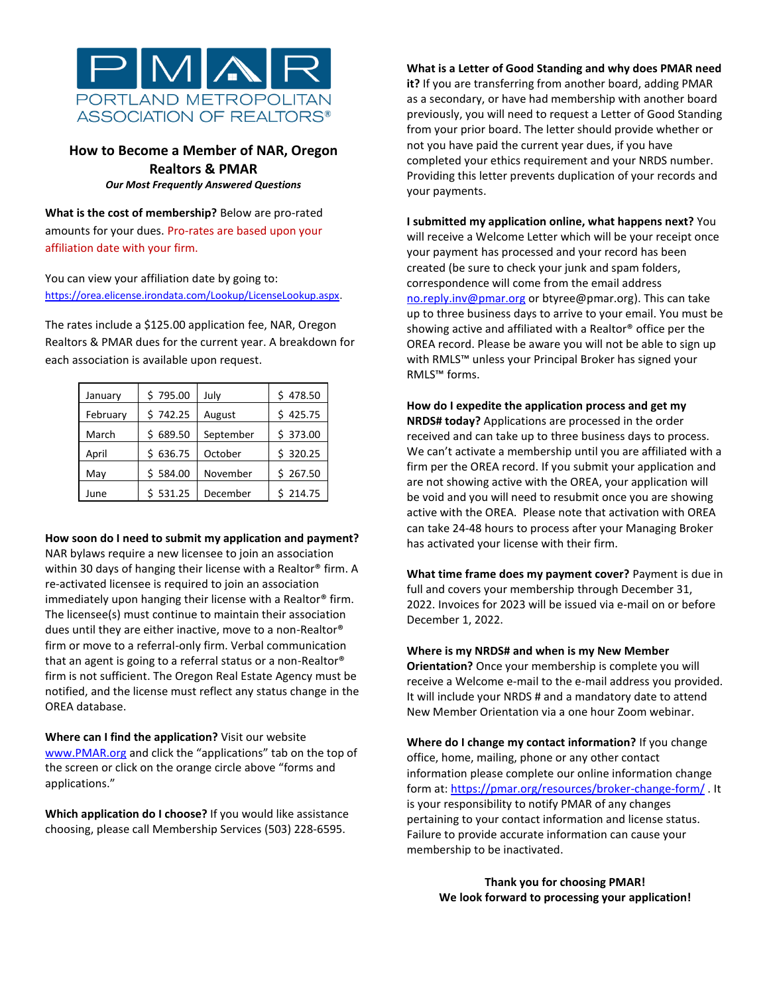

## **How to Become a Member of NAR, Oregon Realtors & PMAR** *Our Most Frequently Answered Questions*

**What is the cost of membership?** Below are pro-rated amounts for your dues. Pro-rates are based upon your affiliation date with your firm.

You can view your affiliation date by going to: [https://orea.elicense.irondata.com/Lookup/LicenseLookup.aspx.](https://orea.elicense.irondata.com/Lookup/LicenseLookup.aspx)

The rates include a \$125.00 application fee, NAR, Oregon Realtors & PMAR dues for the current year. A breakdown for each association is available upon request.

| January  | \$795.00 | July      | \$478.50 |
|----------|----------|-----------|----------|
| February | \$742.25 | August    | \$425.75 |
| March    | \$689.50 | September | \$373.00 |
| April    | \$636.75 | October   | \$320.25 |
| May      | \$584.00 | November  | \$267.50 |
| June     | \$531.25 | December  | \$214.75 |

## **How soon do I need to submit my application and payment?**

NAR bylaws require a new licensee to join an association within 30 days of hanging their license with a Realtor® firm. A re-activated licensee is required to join an association immediately upon hanging their license with a Realtor® firm. The licensee(s) must continue to maintain their association dues until they are either inactive, move to a non-Realtor® firm or move to a referral-only firm. Verbal communication that an agent is going to a referral status or a non-Realtor® firm is not sufficient. The Oregon Real Estate Agency must be notified, and the license must reflect any status change in the OREA database.

**Where can I find the application?** Visit our website [www.PMAR.org](http://www.pmar.org/) and click the "applications" tab on the top of the screen or click on the orange circle above "forms and applications."

**Which application do I choose?** If you would like assistance choosing, please call Membership Services (503) 228-6595.

**What is a Letter of Good Standing and why does PMAR need it?** If you are transferring from another board, adding PMAR as a secondary, or have had membership with another board previously, you will need to request a Letter of Good Standing from your prior board. The letter should provide whether or not you have paid the current year dues, if you have completed your ethics requirement and your NRDS number. Providing this letter prevents duplication of your records and your payments.

**I submitted my application online, what happens next?** You will receive a Welcome Letter which will be your receipt once your payment has processed and your record has been created (be sure to check your junk and spam folders, correspondence will come from the email address [no.reply.inv@pmar.org](mailto:no.reply.inv@pmar.org) or btyree@pmar.org). This can take up to three business days to arrive to your email. You must be showing active and affiliated with a Realtor® office per the OREA record. Please be aware you will not be able to sign up with RMLS™ unless your Principal Broker has signed your RMLS™ forms.

**How do I expedite the application process and get my NRDS# today?** Applications are processed in the order received and can take up to three business days to process. We can't activate a membership until you are affiliated with a firm per the OREA record. If you submit your application and are not showing active with the OREA, your application will be void and you will need to resubmit once you are showing active with the OREA. Please note that activation with OREA can take 24-48 hours to process after your Managing Broker has activated your license with their firm.

**What time frame does my payment cover?** Payment is due in full and covers your membership through December 31, 2022. Invoices for 2023 will be issued via e-mail on or before December 1, 2022.

**Where is my NRDS# and when is my New Member Orientation?** Once your membership is complete you will receive a Welcome e-mail to the e-mail address you provided. It will include your NRDS # and a mandatory date to attend New Member Orientation via a one hour Zoom webinar.

**Where do I change my contact information?** If you change office, home, mailing, phone or any other contact information please complete our online information change form at: <https://pmar.org/resources/broker-change-form/> . It is your responsibility to notify PMAR of any changes pertaining to your contact information and license status. Failure to provide accurate information can cause your membership to be inactivated.

> **Thank you for choosing PMAR! We look forward to processing your application!**